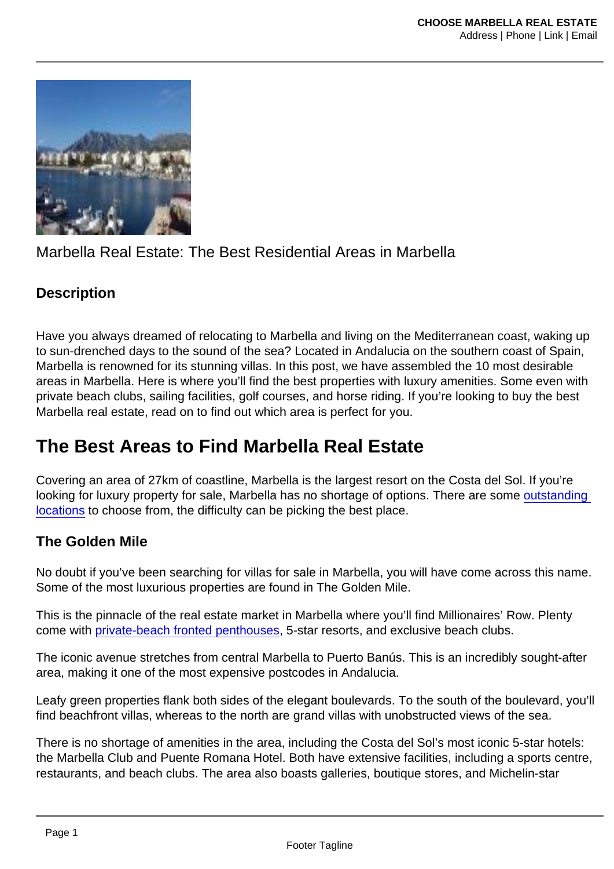## Marbella Real Estate: The Best Residential Areas in Marbella

#### **Description**

Have you always dreamed of relocating to Marbella and living on the Mediterranean coast, waking up to sun-drenched days to the sound of the sea? Located in Andalucia on the southern coast of Spain, Marbella is renowned for its stunning villas. In this post, we have assembled the 10 most desirable areas in Marbella. Here is where you'll find the best properties with luxury amenities. Some even with private beach clubs, sailing facilities, golf courses, and horse riding. If you're looking to buy the best Marbella real estate, read on to find out which area is perfect for you.

# The Best Areas to Find Marbella Real Estate

Covering an area of 27km of coastline, Marbella is the largest resort on the Costa del Sol. If you're looking for luxury property for sale, Marbella has no shortage of options. There are some [outstanding](https://luxurypropertyfindermarbella.com/2019/04/05/top-6-best-places-to-live-in-marbella/)  [locations](https://luxurypropertyfindermarbella.com/2019/04/05/top-6-best-places-to-live-in-marbella/) to choose from, the difficulty can be picking the best place.

#### The Golden Mile

No doubt if you've been searching for villas for sale in Marbella, you will have come across this name. Some of the most luxurious properties are found in The Golden Mile.

This is the pinnacle of the real estate market in Marbella where you'll find Millionaires' Row. Plenty come with [private-beach fronted penthouses](https://choosemarbella.com/penthouse-living-the-perks-are-sky-high￼/), 5-star resorts, and exclusive beach clubs.

The iconic avenue stretches from central Marbella to Puerto Banús. This is an incredibly sought-after area, making it one of the most expensive postcodes in Andalucia.

Leafy green properties flank both sides of the elegant boulevards. To the south of the boulevard, you'll find beachfront villas, whereas to the north are grand villas with unobstructed views of the sea.

There is no shortage of amenities in the area, including the Costa del Sol's most iconic 5-star hotels: the Marbella Club and Puente Romana Hotel. Both have extensive facilities, including a sports centre, restaurants, and beach clubs. The area also boasts galleries, boutique stores, and Michelin-star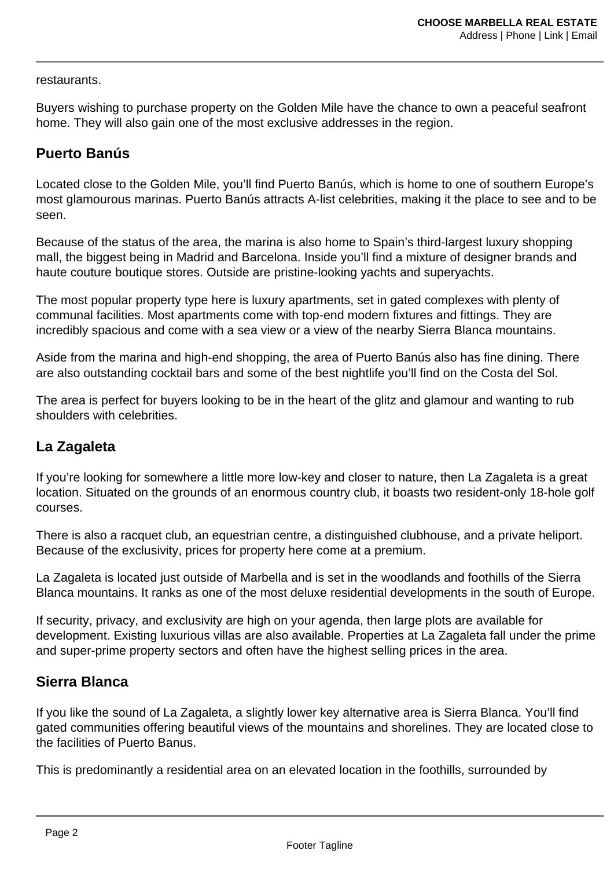restaurants.

Buyers wishing to purchase property on the Golden Mile have the chance to own a peaceful seafront home. They will also gain one of the most exclusive addresses in the region.

### **Puerto Banús**

Located close to the Golden Mile, you'll find Puerto Banús, which is home to one of southern Europe's most glamourous marinas. Puerto Banús attracts A-list celebrities, making it the place to see and to be seen.

Because of the status of the area, the marina is also home to Spain's third-largest luxury shopping mall, the biggest being in Madrid and Barcelona. Inside you'll find a mixture of designer brands and haute couture boutique stores. Outside are pristine-looking yachts and superyachts.

The most popular property type here is luxury apartments, set in gated complexes with plenty of communal facilities. Most apartments come with top-end modern fixtures and fittings. They are incredibly spacious and come with a sea view or a view of the nearby Sierra Blanca mountains.

Aside from the marina and high-end shopping, the area of Puerto Banús also has fine dining. There are also outstanding cocktail bars and some of the best nightlife you'll find on the Costa del Sol.

The area is perfect for buyers looking to be in the heart of the glitz and glamour and wanting to rub shoulders with celebrities.

### **La Zagaleta**

If you're looking for somewhere a little more low-key and closer to nature, then La Zagaleta is a great location. Situated on the grounds of an enormous country club, it boasts two resident-only 18-hole golf courses.

There is also a racquet club, an equestrian centre, a distinguished clubhouse, and a private heliport. Because of the exclusivity, prices for property here come at a premium.

La Zagaleta is located just outside of Marbella and is set in the woodlands and foothills of the Sierra Blanca mountains. It ranks as one of the most deluxe residential developments in the south of Europe.

If security, privacy, and exclusivity are high on your agenda, then large plots are available for development. Existing luxurious villas are also available. Properties at La Zagaleta fall under the prime and super-prime property sectors and often have the highest selling prices in the area.

#### **Sierra Blanca**

If you like the sound of La Zagaleta, a slightly lower key alternative area is Sierra Blanca. You'll find gated communities offering beautiful views of the mountains and shorelines. They are located close to the facilities of Puerto Banus.

This is predominantly a residential area on an elevated location in the foothills, surrounded by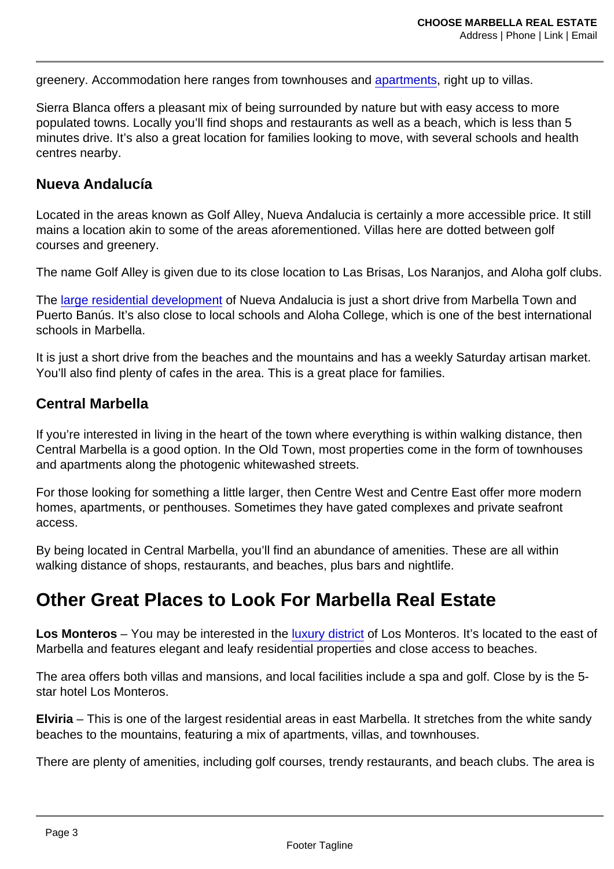greenery. Accommodation here ranges from townhouses and [apartments,](https://choosemarbella.com/what-to-look-for-in-a-marbella-apartment/) right up to villas.

Sierra Blanca offers a pleasant mix of being surrounded by nature but with easy access to more populated towns. Locally you'll find shops and restaurants as well as a beach, which is less than 5 minutes drive. It's also a great location for families looking to move, with several schools and health centres nearby.

#### Nueva Andalucía

Located in the areas known as Golf Alley, Nueva Andalucia is certainly a more accessible price. It still mains a location akin to some of the areas aforementioned. Villas here are dotted between golf courses and greenery.

The name Golf Alley is given due to its close location to Las Brisas, Los Naranjos, and Aloha golf clubs.

The [large residential development](https://www.dmproperties.com/16274-marbellas-best-residential-areas.html) of Nueva Andalucia is just a short drive from Marbella Town and Puerto Banús. It's also close to local schools and Aloha College, which is one of the best international schools in Marbella.

It is just a short drive from the beaches and the mountains and has a weekly Saturday artisan market. You'll also find plenty of cafes in the area. This is a great place for families.

#### Central Marbella

If you're interested in living in the heart of the town where everything is within walking distance, then Central Marbella is a good option. In the Old Town, most properties come in the form of townhouses and apartments along the photogenic whitewashed streets.

For those looking for something a little larger, then Centre West and Centre East offer more modern homes, apartments, or penthouses. Sometimes they have gated complexes and private seafront access.

By being located in Central Marbella, you'll find an abundance of amenities. These are all within walking distance of shops, restaurants, and beaches, plus bars and nightlife.

## Other Great Places to Look For Marbella Real Estate

Los Monteros – You may be interested in the [luxury district](https://andaluciarealty.com/blog/live-in-marbella-discover-the-10-most-luxury-areas-in-marbella/) of Los Monteros. It's located to the east of Marbella and features elegant and leafy residential properties and close access to beaches.

The area offers both villas and mansions, and local facilities include a spa and golf. Close by is the 5 star hotel Los Monteros.

Elviria – This is one of the largest residential areas in east Marbella. It stretches from the white sandy beaches to the mountains, featuring a mix of apartments, villas, and townhouses.

There are plenty of amenities, including golf courses, trendy restaurants, and beach clubs. The area is